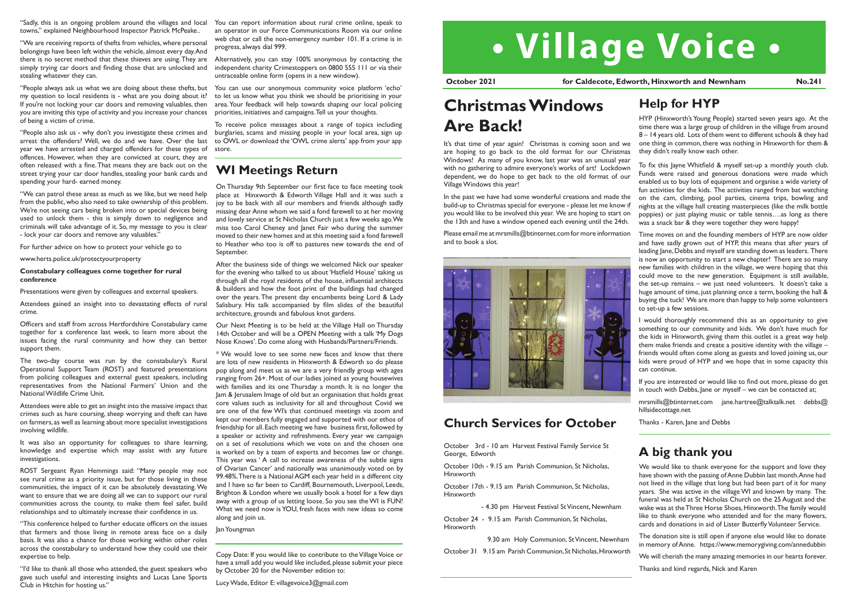

It's that time of year again! Christmas is coming soon and we are hoping to go back to the old format for our Christmas Windows! As many of you know, last year was an unusual year with no gathering to admire everyone's works of art! Lockdown dependent, we do hope to get back to the old format of our Village Windows this year!

In the past we have had some wonderful creations and made the build-up to Christmas special for everyone - please let me know if you would like to be involved this year. We are hoping to start on the 13th and have a window opened each evening until the 24th.

Please email me at mrsmills@btinternet.com for more information and to book a slot.



# **Christmas Windows Are Back!**

Copy Date: If you would like to contribute to the Village Voice or have a small add you would like included, please submit your piece by October 20 for the November edition to:

Lucy Wade, Editor E: villagevoice3@gmail.com

**October 2021 discript of Caldecote, Edworth, Hinxworth and Newnham 1996.241** 

To fix this Jayne Whitfield & myself set-up a monthly youth club. Funds were raised and generous donations were made which enabled us to buy lots of equipment and organise a wide variety of fun activities for the kids. The activities ranged from bat watching on the cam, climbing, pool parties, cinema trips, bowling and nights at the village hall creating masterpieces (like the milk bottle poppies) or just playing music or table tennis….as long as there was a snack bar & they were together they were happy!

mrsmills@btinternet.com jane.hartree@talktalk.net debbs@ hillsidecottage.net

Time moves on and the founding members of HYP are now older and have sadly grown out of HYP, this means that after years of leading Jane, Debbs and myself are standing down as leaders. There is now an opportunity to start a new chapter! There are so many new families with children in the village, we were hoping that this could move to the new generation. Equipment is still available, the set-up remains – we just need volunteers. It doesn't take a huge amount of time, just planning once a term, booking the hall & buying the tuck! We are more than happy to help some volunteers to set-up a few sessions.

I would thoroughly recommend this as an opportunity to give something to our community and kids. We don't have much for the kids in Hinxworth, giving them this outlet is a great way help them make friends and create a positive identity with the village – friends would often come along as guests and loved joining us, our kids were proud of HYP and we hope that in some capacity this can continue.

If you are interested or would like to find out more, please do get in touch with Debbs, Jane or myself – we can be contacted at;

Thanks - Karen, Jane and Debbs

### **Help for HYP**

HYP (Hinxworth's Young People) started seven years ago. At the time there was a large group of children in the village from around 8 – 14 years old. Lots of them went to different schools & they had one thing in common, there was nothing in Hinxworth for them & they didn't really know each other.

### **WI Meetings Return**

On Thursday 9th September our first face to face meeting took place at Hinxworth & Edworth Village Hall and it was such a joy to be back with all our members and friends although sadly missing dear Anne whom we said a fond farewell to at her moving and lovely service at St Nicholas Church just a few weeks ago. We miss too Carol Cheney and Janet Fair who during the summer moved to their new homes and at this meeting said a fond farewell to Heather who too is off to pastures new towards the end of September.

After the business side of things we welcomed Nick our speaker for the evening who talked to us about 'Hatfield House' taking us through all the royal residents of the house, influential architects & builders and how the foot print of the buildings had changed over the years. The present day encumbents being Lord & Lady Salisbury. His talk accompanied by film slides of the beautiful architecture, grounds and fabulous knot gardens.

Our Next Meeting is to be held at the Village Hall on Thursday 14th October and will be a OPEN Meeting with a talk 'My Dogs Nose Knows'. Do come along with Husbands/Partners/Friends.

\* We would love to see some new faces and know that there are lots of new residents in Hinxworth & Edworth so do please pop along and meet us as we are a very friendly group with ages ranging from 26+. Most of our ladies joined as young housewives with families and its one Thursday a month. It is no longer the Jam & Jerusalem Image of old but an organisation that holds great core values such as inclusivity for all and throughout Covid we are one of the few WI's that continued meetings via zoom and kept our members fully engaged and supported with our ethos of friendship for all. Each meeting we have business first, followed by a speaker or activity and refreshments. Every year we campaign on a set of resolutions which we vote on and the chosen one is worked on by a team of experts and becomes law or change. This year was ' A call to increase awareness of the subtle signs of Ovarian Cancer' and nationally was unanimously voted on by 99.48%. There is a National AGM each year held in a different city and I have so far been to Cardiff, Bournemouth, Liverpool, Leeds, Brighton & London where we usually book a hotel for a few days away with a group of us letting loose. So you see the WI is FUN! What we need now is YOU, fresh faces with new ideas so come along and join us.

We would like to thank everyone for the support and love they have shown with the passing of Anne Dubbin last month. Anne had not lived in the village that long but had been part of it for many years. She was active in the village WI and known by many. The funeral was held at St Nicholas Church on the 25 August and the wake was at the Three Horse Shoes, Hinxworth. The family would like to thank everyone who attended and for the many flowers, cards and donations in aid of Lister Butterfly Volunteer Service.

Jan Youngman

"Sadly, this is an ongoing problem around the villages and local towns," explained Neighbourhood Inspector Patrick McPeake..

"We are receiving reports of thefts from vehicles, where personal belongings have been left within the vehicle, almost every day. And there is no secret method that these thieves are using. They are simply trying car doors and finding those that are unlocked and stealing whatever they can.

"People always ask us what we are doing about these thefts, but my question to local residents is - what are you doing about it? If you're not locking your car doors and removing valuables, then you are inviting this type of activity and you increase your chances of being a victim of crime.

"People also ask us - why don't you investigate these crimes and arrest the offenders? Well, we do and we have. Over the last year we have arrested and charged offenders for these types of offences. However, when they are convicted at court, they are often released with a fine. That means they are back out on the street trying your car door handles, stealing your bank cards and spending your hard- earned money.

"We can patrol these areas as much as we like, but we need help from the public, who also need to take ownership of this problem. We're not seeing cars being broken into or special devices being used to unlock them - this is simply down to negligence and criminals will take advantage of it. So, my message to you is clear - lock your car doors and remove any valuables."

For further advice on how to protect your vehicle go to

www.herts.police.uk/protectyourproperty

#### **Constabulary colleagues come together for rural conference**

Presentations were given by colleagues and external speakers.

Attendees gained an insight into to devastating effects of rural crime.

Officers and staff from across Hertfordshire Constabulary came together for a conference last week, to learn more about the issues facing the rural community and how they can better support them.

The two-day course was run by the constabulary's Rural Operational Support Team (ROST) and featured presentations from policing colleagues and external guest speakers, including representatives from the National Farmers' Union and the National Wildlife Crime Unit.

Attendees were able to get an insight into the massive impact that crimes such as hare coursing, sheep worrying and theft can have on farmers, as well as learning about more specialist investigations involving wildlife.

It was also an opportunity for colleagues to share learning, knowledge and expertise which may assist with any future investigations.

ROST Sergeant Ryan Hemmings said: "Many people may not see rural crime as a priority issue, but for those living in these communities, the impact of it can be absolutely devastating. We want to ensure that we are doing all we can to support our rural communities across the county, to make them feel safer, build relationships and to ultimately increase their confidence in us.

"This conference helped to further educate officers on the issues that farmers and those living in remote areas face on a daily basis. It was also a chance for those working within other roles across the constabulary to understand how they could use their expertise to help.

"I'd like to thank all those who attended, the guest speakers who gave such useful and interesting insights and Lucas Lane Sports Club in Hitchin for hosting us."

You can report information about rural crime online, speak to an operator in our Force Communications Room via our online web chat or call the non-emergency number 101. If a crime is in progress, always dial 999.

Alternatively, you can stay 100% anonymous by contacting the independent charity Crimestoppers on 0800 555 111 or via their untraceable online form (opens in a new window).

You can use our anonymous community voice platform 'echo' to let us know what you think we should be prioritising in your area. Your feedback will help towards shaping our local policing priorities, initiatives and campaigns. Tell us your thoughts.

To receive police messages about a range of topics including burglaries, scams and missing people in your local area, sign up to OWL or download the 'OWL crime alerts' app from your app store.

> October 3rd - 10 am Harvest Festival Family Service St George, Edworth

> October 10th - 9.15 am Parish Communion, St Nicholas, Hinxworth

> October 17th - 9.15 am Parish Communion, St Nicholas, Hinxworth

> > - 4.30 pm Harvest Festival St Vincent, Newnham

October 24 - 9.15 am Parish Communion, St Nicholas, Hinxworth

9.30 am Holy Communion, St Vincent, Newnham

October 31 9.15 am Parish Communion, St Nicholas, Hinxworth

### **Church Services for October**

### **A big thank you**

The donation site is still open if anyone else would like to donate in memory of Anne. https://www.memorygiving.com/annedubbin

We will cherish the many amazing memories in our hearts forever.

Thanks and kind regards, Nick and Karen